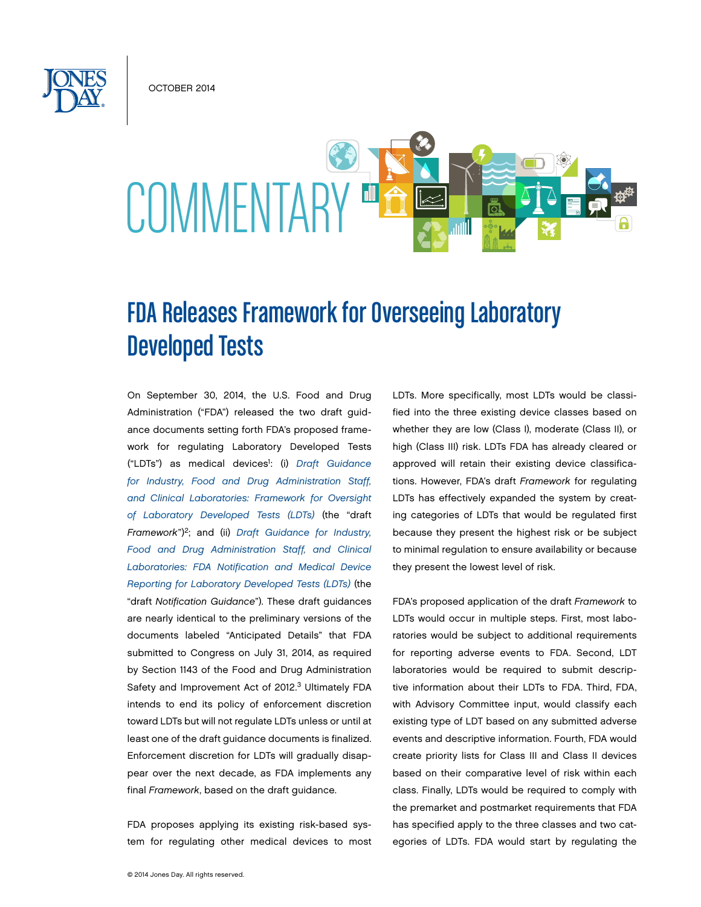October 2014



# FDA Releases Framework for Overseeing Laboratory Developed Tests

On September 30, 2014, the U.S. Food and Drug Administration ("FDA") released the two draft guidance documents setting forth FDA's proposed framework for regulating Laboratory Developed Tests ("LDTs") as medical devices1 : (i) *[Draft Guidance](http://www.fda.gov/downloads/MedicalDevices/DeviceRegulationandGuidance/GuidanceDocuments/UCM416685.pdf)  [for Industry, Food and Drug Administration Staff,](http://www.fda.gov/downloads/MedicalDevices/DeviceRegulationandGuidance/GuidanceDocuments/UCM416685.pdf)  [and Clinical Laboratories: Framework for Oversight](http://www.fda.gov/downloads/MedicalDevices/DeviceRegulationandGuidance/GuidanceDocuments/UCM416685.pdf)  [of Laboratory Developed Tests \(LDTs\)](http://www.fda.gov/downloads/MedicalDevices/DeviceRegulationandGuidance/GuidanceDocuments/UCM416685.pdf)* (the "draft *Framework*")2; and (ii) *[Draft Guidance for Industry,](http://www.fda.gov/downloads/MedicalDevices/DeviceRegulationandGuidance/GuidanceDocuments/UCM416684.pdf)  [Food and Drug Administration Staff, and Clinical](http://www.fda.gov/downloads/MedicalDevices/DeviceRegulationandGuidance/GuidanceDocuments/UCM416684.pdf)  [Laboratories: FDA Notification and Medical Device](http://www.fda.gov/downloads/MedicalDevices/DeviceRegulationandGuidance/GuidanceDocuments/UCM416684.pdf)  [Reporting for Laboratory Developed Tests \(LDTs\)](http://www.fda.gov/downloads/MedicalDevices/DeviceRegulationandGuidance/GuidanceDocuments/UCM416684.pdf)* (the "draft *Notification Guidance*"). These draft guidances are nearly identical to the preliminary versions of the documents labeled "Anticipated Details" that FDA submitted to Congress on July 31, 2014, as required by Section 1143 of the Food and Drug Administration Safety and Improvement Act of 2012.<sup>3</sup> Ultimately FDA intends to end its policy of enforcement discretion toward LDTs but will not regulate LDTs unless or until at least one of the draft guidance documents is finalized. Enforcement discretion for LDTs will gradually disappear over the next decade, as FDA implements any final *Framework*, based on the draft guidance.

FDA proposes applying its existing risk-based system for regulating other medical devices to most LDTs. More specifically, most LDTs would be classified into the three existing device classes based on whether they are low (Class I), moderate (Class II), or high (Class III) risk. LDTs FDA has already cleared or approved will retain their existing device classifications. However, FDA's draft *Framework* for regulating LDTs has effectively expanded the system by creating categories of LDTs that would be regulated first because they present the highest risk or be subject to minimal regulation to ensure availability or because they present the lowest level of risk.

FDA's proposed application of the draft *Framework* to LDTs would occur in multiple steps. First, most laboratories would be subject to additional requirements for reporting adverse events to FDA. Second, LDT laboratories would be required to submit descriptive information about their LDTs to FDA. Third, FDA, with Advisory Committee input, would classify each existing type of LDT based on any submitted adverse events and descriptive information. Fourth, FDA would create priority lists for Class III and Class II devices based on their comparative level of risk within each class. Finally, LDTs would be required to comply with the premarket and postmarket requirements that FDA has specified apply to the three classes and two categories of LDTs. FDA would start by regulating the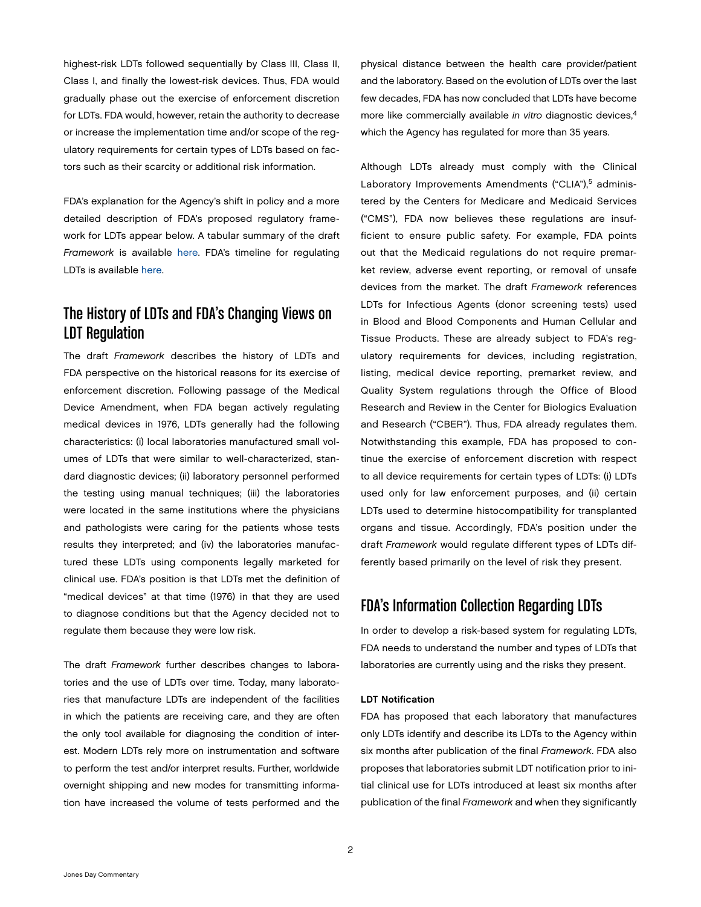highest-risk LDTs followed sequentially by Class III, Class II, Class I, and finally the lowest-risk devices. Thus, FDA would gradually phase out the exercise of enforcement discretion for LDTs. FDA would, however, retain the authority to decrease or increase the implementation time and/or scope of the regulatory requirements for certain types of LDTs based on factors such as their scarcity or additional risk information.

FDA's explanation for the Agency's shift in policy and a more detailed description of FDA's proposed regulatory framework for LDTs appear below. A tabular summary of the draft *Framework* is available [here.](http://www.jonesday.com/files/upload/FDA%20Regulation%20of%20LDTs%20Chart.pdf) FDA's timeline for regulating LDTs is available [here](http://www.jonesday.com/files/upload/LDT%20Regulatory%20Enforcement%20Timeline.pdf).

### The History of LDTs and FDA's Changing Views on LDT Regulation

The draft *Framework* describes the history of LDTs and FDA perspective on the historical reasons for its exercise of enforcement discretion. Following passage of the Medical Device Amendment, when FDA began actively regulating medical devices in 1976, LDTs generally had the following characteristics: (i) local laboratories manufactured small volumes of LDTs that were similar to well-characterized, standard diagnostic devices; (ii) laboratory personnel performed the testing using manual techniques; (iii) the laboratories were located in the same institutions where the physicians and pathologists were caring for the patients whose tests results they interpreted; and (iv) the laboratories manufactured these LDTs using components legally marketed for clinical use. FDA's position is that LDTs met the definition of "medical devices" at that time (1976) in that they are used to diagnose conditions but that the Agency decided not to regulate them because they were low risk.

The draft *Framework* further describes changes to laboratories and the use of LDTs over time. Today, many laboratories that manufacture LDTs are independent of the facilities in which the patients are receiving care, and they are often the only tool available for diagnosing the condition of interest. Modern LDTs rely more on instrumentation and software to perform the test and/or interpret results. Further, worldwide overnight shipping and new modes for transmitting information have increased the volume of tests performed and the physical distance between the health care provider/patient and the laboratory. Based on the evolution of LDTs over the last few decades, FDA has now concluded that LDTs have become more like commercially available *in vitro* diagnostic devices,<sup>4</sup> which the Agency has regulated for more than 35 years.

Although LDTs already must comply with the Clinical Laboratory Improvements Amendments ("CLIA"),<sup>5</sup> administered by the Centers for Medicare and Medicaid Services ("CMS"), FDA now believes these regulations are insufficient to ensure public safety. For example, FDA points out that the Medicaid regulations do not require premarket review, adverse event reporting, or removal of unsafe devices from the market. The draft *Framework* references LDTs for Infectious Agents (donor screening tests) used in Blood and Blood Components and Human Cellular and Tissue Products. These are already subject to FDA's regulatory requirements for devices, including registration, listing, medical device reporting, premarket review, and Quality System regulations through the Office of Blood Research and Review in the Center for Biologics Evaluation and Research ("CBER"). Thus, FDA already regulates them. Notwithstanding this example, FDA has proposed to continue the exercise of enforcement discretion with respect to all device requirements for certain types of LDTs: (i) LDTs used only for law enforcement purposes, and (ii) certain LDTs used to determine histocompatibility for transplanted organs and tissue. Accordingly, FDA's position under the draft *Framework* would regulate different types of LDTs differently based primarily on the level of risk they present.

## FDA's Information Collection Regarding LDTs

In order to develop a risk-based system for regulating LDTs, FDA needs to understand the number and types of LDTs that laboratories are currently using and the risks they present.

#### LDT Notification

FDA has proposed that each laboratory that manufactures only LDTs identify and describe its LDTs to the Agency within six months after publication of the final *Framework*. FDA also proposes that laboratories submit LDT notification prior to initial clinical use for LDTs introduced at least six months after publication of the final *Framework* and when they significantly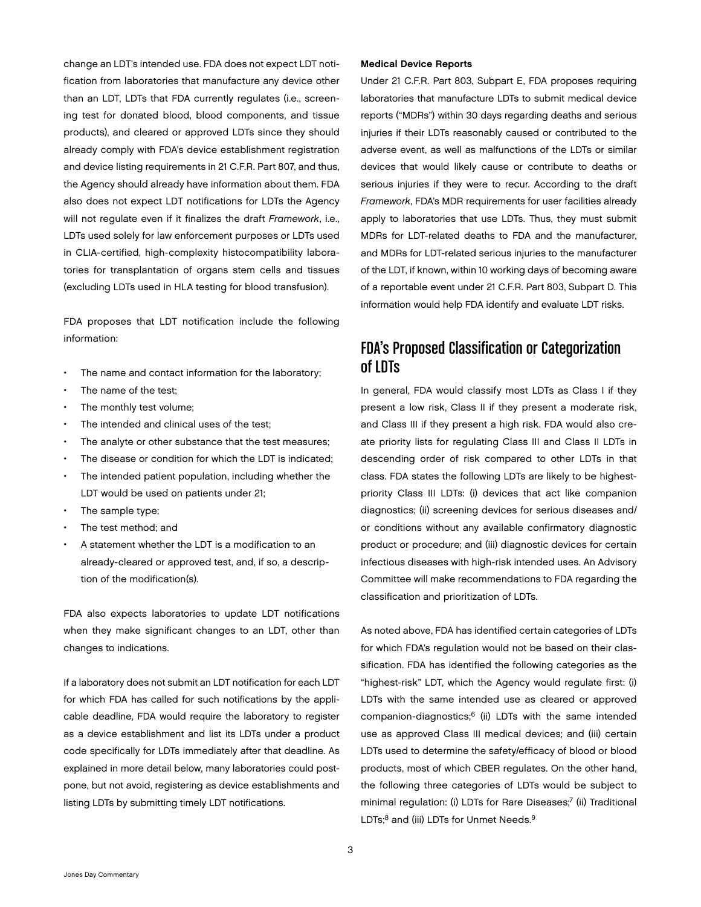change an LDT's intended use. FDA does not expect LDT notification from laboratories that manufacture any device other than an LDT, LDTs that FDA currently regulates (i.e., screening test for donated blood, blood components, and tissue products), and cleared or approved LDTs since they should already comply with FDA's device establishment registration and device listing requirements in 21 C.F.R. Part 807, and thus, the Agency should already have information about them. FDA also does not expect LDT notifications for LDTs the Agency will not regulate even if it finalizes the draft *Framework*, i.e., LDTs used solely for law enforcement purposes or LDTs used in CLIA-certified, high-complexity histocompatibility laboratories for transplantation of organs stem cells and tissues (excluding LDTs used in HLA testing for blood transfusion).

FDA proposes that LDT notification include the following information:

- The name and contact information for the laboratory;
- The name of the test:
- The monthly test volume;
- The intended and clinical uses of the test;
- The analyte or other substance that the test measures;
- The disease or condition for which the LDT is indicated;
- The intended patient population, including whether the LDT would be used on patients under 21;
- The sample type;
- The test method; and
- A statement whether the LDT is a modification to an already-cleared or approved test, and, if so, a description of the modification(s).

FDA also expects laboratories to update LDT notifications when they make significant changes to an LDT, other than changes to indications.

If a laboratory does not submit an LDT notification for each LDT for which FDA has called for such notifications by the applicable deadline, FDA would require the laboratory to register as a device establishment and list its LDTs under a product code specifically for LDTs immediately after that deadline. As explained in more detail below, many laboratories could postpone, but not avoid, registering as device establishments and listing LDTs by submitting timely LDT notifications.

#### Medical Device Reports

Under 21 C.F.R. Part 803, Subpart E, FDA proposes requiring laboratories that manufacture LDTs to submit medical device reports ("MDRs") within 30 days regarding deaths and serious injuries if their LDTs reasonably caused or contributed to the adverse event, as well as malfunctions of the LDTs or similar devices that would likely cause or contribute to deaths or serious injuries if they were to recur. According to the draft *Framework*, FDA's MDR requirements for user facilities already apply to laboratories that use LDTs. Thus, they must submit MDRs for LDT-related deaths to FDA and the manufacturer, and MDRs for LDT-related serious injuries to the manufacturer of the LDT, if known, within 10 working days of becoming aware of a reportable event under 21 C.F.R. Part 803, Subpart D. This information would help FDA identify and evaluate LDT risks.

# FDA's Proposed Classification or Categorization of LDTs

In general, FDA would classify most LDTs as Class I if they present a low risk, Class II if they present a moderate risk, and Class III if they present a high risk. FDA would also create priority lists for regulating Class III and Class II LDTs in descending order of risk compared to other LDTs in that class. FDA states the following LDTs are likely to be highestpriority Class III LDTs: (i) devices that act like companion diagnostics; (ii) screening devices for serious diseases and/ or conditions without any available confirmatory diagnostic product or procedure; and (iii) diagnostic devices for certain infectious diseases with high-risk intended uses. An Advisory Committee will make recommendations to FDA regarding the classification and prioritization of LDTs.

As noted above, FDA has identified certain categories of LDTs for which FDA's regulation would not be based on their classification. FDA has identified the following categories as the "highest-risk" LDT, which the Agency would regulate first: (i) LDTs with the same intended use as cleared or approved companion-diagnostics;6 (ii) LDTs with the same intended use as approved Class III medical devices; and (iii) certain LDTs used to determine the safety/efficacy of blood or blood products, most of which CBER regulates. On the other hand, the following three categories of LDTs would be subject to minimal regulation: (i) LDTs for Rare Diseases;<sup>7</sup> (ii) Traditional LDTs;<sup>8</sup> and (iii) LDTs for Unmet Needs.<sup>9</sup>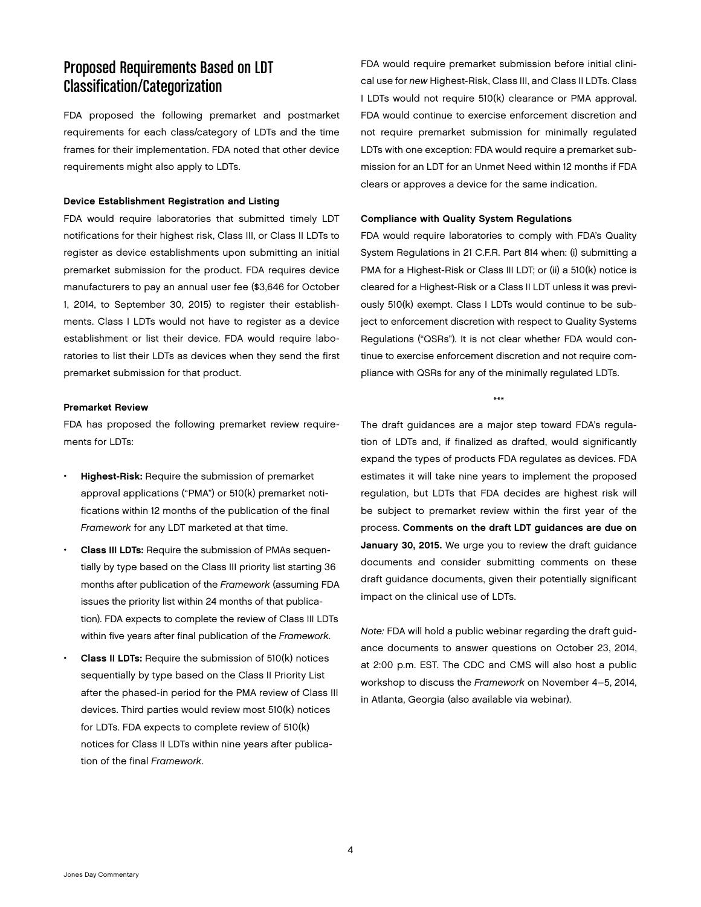## Proposed Requirements Based on LDT Classification/Categorization

FDA proposed the following premarket and postmarket requirements for each class/category of LDTs and the time frames for their implementation. FDA noted that other device requirements might also apply to LDTs.

#### Device Establishment Registration and Listing

FDA would require laboratories that submitted timely LDT notifications for their highest risk, Class III, or Class II LDTs to register as device establishments upon submitting an initial premarket submission for the product. FDA requires device manufacturers to pay an annual user fee (\$3,646 for October 1, 2014, to September 30, 2015) to register their establishments. Class I LDTs would not have to register as a device establishment or list their device. FDA would require laboratories to list their LDTs as devices when they send the first premarket submission for that product.

#### Premarket Review

FDA has proposed the following premarket review requirements for LDTs:

- Highest-Risk: Require the submission of premarket approval applications ("PMA") or 510(k) premarket notifications within 12 months of the publication of the final *Framework* for any LDT marketed at that time.
- Class III LDTs: Require the submission of PMAs sequentially by type based on the Class III priority list starting 36 months after publication of the *Framework* (assuming FDA issues the priority list within 24 months of that publication). FDA expects to complete the review of Class III LDTs within five years after final publication of the *Framework*.
- **Class II LDTs:** Require the submission of 510(k) notices sequentially by type based on the Class II Priority List after the phased-in period for the PMA review of Class III devices. Third parties would review most 510(k) notices for LDTs. FDA expects to complete review of 510(k) notices for Class II LDTs within nine years after publication of the final *Framework*.

FDA would require premarket submission before initial clinical use for *new* Highest-Risk, Class III, and Class II LDTs. Class I LDTs would not require 510(k) clearance or PMA approval. FDA would continue to exercise enforcement discretion and not require premarket submission for minimally regulated LDTs with one exception: FDA would require a premarket submission for an LDT for an Unmet Need within 12 months if FDA clears or approves a device for the same indication.

#### Compliance with Quality System Regulations

FDA would require laboratories to comply with FDA's Quality System Regulations in 21 C.F.R. Part 814 when: (i) submitting a PMA for a Highest-Risk or Class III LDT; or (ii) a 510(k) notice is cleared for a Highest-Risk or a Class II LDT unless it was previously 510(k) exempt. Class I LDTs would continue to be subject to enforcement discretion with respect to Quality Systems Regulations ("QSRs"). It is not clear whether FDA would continue to exercise enforcement discretion and not require compliance with QSRs for any of the minimally regulated LDTs.

\*\*\*

The draft guidances are a major step toward FDA's regulation of LDTs and, if finalized as drafted, would significantly expand the types of products FDA regulates as devices. FDA estimates it will take nine years to implement the proposed regulation, but LDTs that FDA decides are highest risk will be subject to premarket review within the first year of the process. Comments on the draft LDT guidances are due on January 30, 2015. We urge you to review the draft guidance documents and consider submitting comments on these draft guidance documents, given their potentially significant impact on the clinical use of LDTs.

*Note:* FDA will hold a public webinar regarding the draft guidance documents to answer questions on October 23, 2014, at 2:00 p.m. EST. The CDC and CMS will also host a public workshop to discuss the *Framework* on November 4–5, 2014, in Atlanta, Georgia (also available via webinar).